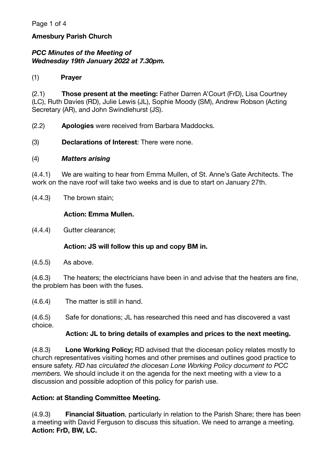## **Amesbury Parish Church**

## *PCC Minutes of the Meeting of Wednesday 19th January 2022 at 7.30pm.*

#### (1) **Prayer**

(2.1) **Those present at the meeting:** Father Darren A'Court (FrD), Lisa Courtney (LC), Ruth Davies (RD), Julie Lewis (JL), Sophie Moody (SM), Andrew Robson (Acting Secretary (AR), and John Swindlehurst (JS).

(2.2) **Apologies** were received from Barbara Maddocks.

(3) **Declarations of Interest**: There were none.

#### (4) *Matters arising*

(4.4.1) We are waiting to hear from Emma Mullen, of St. Anne's Gate Architects. The work on the nave roof will take two weeks and is due to start on January 27th.

(4.4.3) The brown stain;

#### **Action: Emma Mullen.**

(4.4.4) Gutter clearance;

#### **Action: JS will follow this up and copy BM in.**

(4.5.5) As above.

(4.6.3) The heaters; the electricians have been in and advise that the heaters are fine, the problem has been with the fuses.

(4.6.4) The matter is still in hand.

(4.6.5) Safe for donations; JL has researched this need and has discovered a vast choice.

#### **Action: JL to bring details of examples and prices to the next meeting.**

(4.8.3) **Lone Working Policy;** RD advised that the diocesan policy relates mostly to church representatives visiting homes and other premises and outlines good practice to ensure safety. *RD has circulated the diocesan Lone Working Policy document to PCC members.* We should include it on the agenda for the next meeting with a view to a discussion and possible adoption of this policy for parish use.

#### **Action: at Standing Committee Meeting.**

(4.9.3) **Financial Situation**, particularly in relation to the Parish Share; there has been a meeting with David Ferguson to discuss this situation. We need to arrange a meeting. **Action: FrD, BW, LC.**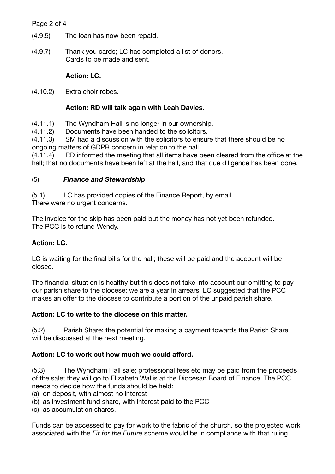### Page 2 of 4

- (4.9.5) The loan has now been repaid.
- (4.9.7) Thank you cards; LC has completed a list of donors. Cards to be made and sent.

# **Action: LC.**

(4.10.2) Extra choir robes.

## **Action: RD will talk again with Leah Davies.**

- (4.11.1) The Wyndham Hall is no longer in our ownership.
- (4.11.2) Documents have been handed to the solicitors.

(4.11.3) SM had a discussion with the solicitors to ensure that there should be no ongoing matters of GDPR concern in relation to the hall.

(4.11.4) RD informed the meeting that all items have been cleared from the office at the hall; that no documents have been left at the hall, and that due diligence has been done.

## (5) *Finance and Stewardship*

(5.1) LC has provided copies of the Finance Report, by email. There were no urgent concerns.

The invoice for the skip has been paid but the money has not yet been refunded. The PCC is to refund Wendy.

# **Action: LC.**

LC is waiting for the final bills for the hall; these will be paid and the account will be closed.

The financial situation is healthy but this does not take into account our omitting to pay our parish share to the diocese; we are a year in arrears. LC suggested that the PCC makes an offer to the diocese to contribute a portion of the unpaid parish share.

# **Action: LC to write to the diocese on this matter.**

(5.2) Parish Share; the potential for making a payment towards the Parish Share will be discussed at the next meeting.

# **Action: LC to work out how much we could afford.**

(5.3) The Wyndham Hall sale; professional fees etc may be paid from the proceeds of the sale; they will go to Elizabeth Wallis at the Diocesan Board of Finance. The PCC needs to decide how the funds should be held:

- (a) on deposit, with almost no interest
- (b) as investment fund share, with interest paid to the PCC
- (c) as accumulation shares.

Funds can be accessed to pay for work to the fabric of the church, so the projected work associated with the *Fit for the Future* scheme would be in compliance with that ruling.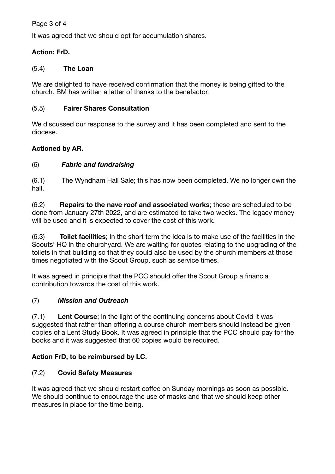### Page 3 of 4

It was agreed that we should opt for accumulation shares.

### **Action: FrD.**

#### (5.4) **The Loan**

We are delighted to have received confirmation that the money is being gifted to the church. BM has written a letter of thanks to the benefactor.

#### (5.5) **Fairer Shares Consultation**

We discussed our response to the survey and it has been completed and sent to the diocese.

### **Actioned by AR.**

### (6) *Fabric and fundraising*

(6.1) The Wyndham Hall Sale; this has now been completed. We no longer own the hall.

(6.2) **Repairs to the nave roof and associated works**; these are scheduled to be done from January 27th 2022, and are estimated to take two weeks. The legacy money will be used and it is expected to cover the cost of this work.

(6.3) **Toilet facilities**; In the short term the idea is to make use of the facilities in the Scouts' HQ in the churchyard. We are waiting for quotes relating to the upgrading of the toilets in that building so that they could also be used by the church members at those times negotiated with the Scout Group, such as service times.

It was agreed in principle that the PCC should offer the Scout Group a financial contribution towards the cost of this work.

### (7) *Mission and Outreach*

(7.1) **Lent Course**; in the light of the continuing concerns about Covid it was suggested that rather than offering a course church members should instead be given copies of a Lent Study Book. It was agreed in principle that the PCC should pay for the books and it was suggested that 60 copies would be required.

### **Action FrD, to be reimbursed by LC.**

### (7.2) **Covid Safety Measures**

It was agreed that we should restart coffee on Sunday mornings as soon as possible. We should continue to encourage the use of masks and that we should keep other measures in place for the time being.